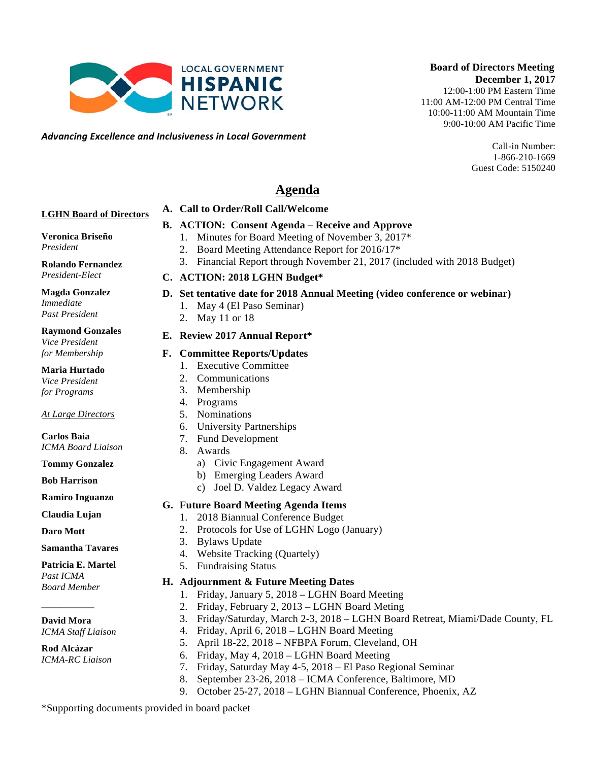*Advancing)Excellence)and)Inclusiveness)in)Local)Government*

9:00-10:00 AM Pacific Time Call-in Number:

 **Board of Directors Meeting**

1-866-210-1669 Guest Code: 5150240

**December 1, 2017** 12:00-1:00 PM Eastern Time 11:00 AM-12:00 PM Central Time 10:00-11:00 AM Mountain Time

# **Agenda**

## **LGHN Board of Directors**

## **B. ACTION: Consent Agenda – Receive and Approve**

**Veronica Briseño**

*President*

**Rolando Fernandez** *President-Elect*

**Magda Gonzalez** *Immediate Past President*

#### **Raymond Gonzales** *Vice President*

*for Membership*

**Maria Hurtado**

*Vice President for Programs*

### *At Large Directors*

**Carlos Baia** *ICMA Board Liaison*

**Tommy Gonzalez**

**Bob Harrison**

**Ramiro Inguanzo**

**Claudia Lujan**

**Daro Mott**

#### **Samantha Tavares**

**Patricia E. Martel** *Past ICMA Board Member*

\_\_\_\_\_\_\_\_\_\_\_ **David Mora**

*ICMA Staff Liaison*

**Rod Alcázar** *ICMA-RC Liaison*

- **A. Call to Order/Roll Call/Welcome** 
	-
- - 1. Minutes for Board Meeting of November 3, 2017\*
	- 2. Board Meeting Attendance Report for 2016/17\*
	- 3. Financial Report through November 21, 2017 (included with 2018 Budget)
- **C. ACTION: 2018 LGHN Budget\***

# **D. Set tentative date for 2018 Annual Meeting (video conference or webinar)**

- 1. May 4 (El Paso Seminar)
- 2. May 11 or 18

## **E. Review 2017 Annual Report\***

## **F. Committee Reports/Updates**

- 1. Executive Committee
- 2. Communications
- 3. Membership
- 4. Programs
- 5. Nominations
- 6. University Partnerships
- 7. Fund Development
- 8. Awards
	- a) Civic Engagement Award
	- b) Emerging Leaders Award
	- c) Joel D. Valdez Legacy Award

# **G. Future Board Meeting Agenda Items**

- 1. 2018 Biannual Conference Budget
- 2. Protocols for Use of LGHN Logo (January)
- 3. Bylaws Update
- 4. Website Tracking (Quartely)
- 5. Fundraising Status

## **H. Adjournment & Future Meeting Dates**

- 1. Friday, January 5, 2018 LGHN Board Meeting
- 2. Friday, February 2, 2013 LGHN Board Meting
- 3. Friday/Saturday, March 2-3, 2018 LGHN Board Retreat, Miami/Dade County, FL
- 4. Friday, April 6, 2018 LGHN Board Meeting
- 5. April 18-22, 2018 NFBPA Forum, Cleveland, OH
- 6. Friday, May 4, 2018 LGHN Board Meeting
- 7. Friday, Saturday May 4-5, 2018 El Paso Regional Seminar
- 8. September 23-26, 2018 ICMA Conference, Baltimore, MD
- 9. October 25-27, 2018 LGHN Biannual Conference, Phoenix, AZ

\*Supporting documents provided in board packet

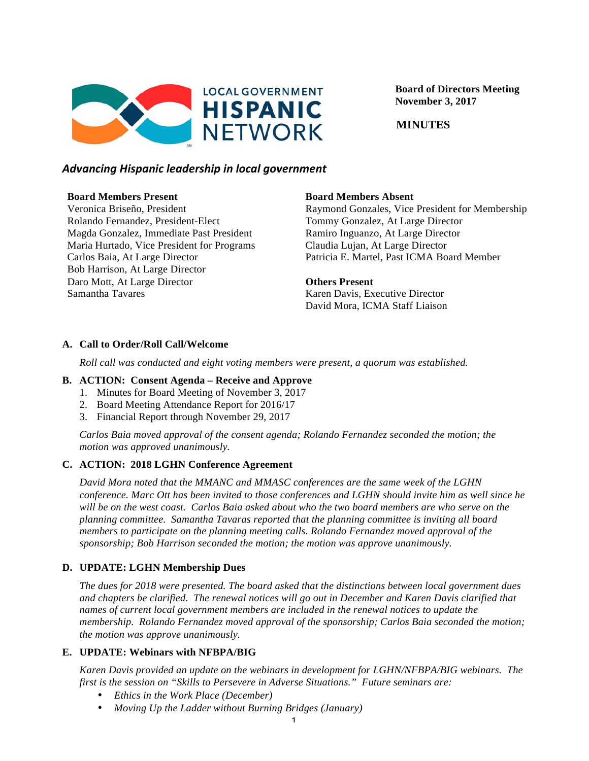

 **Board of Directors Meeting November 3, 2017**

 **MINUTES**

## *Advancing)Hispanic)leadership)in)local)government*

#### **Board Members Present**

Veronica Briseño, President Rolando Fernandez, President-Elect Magda Gonzalez, Immediate Past President Maria Hurtado, Vice President for Programs Carlos Baia, At Large Director Bob Harrison, At Large Director Daro Mott, At Large Director Samantha Tavares

### **Board Members Absent**

Raymond Gonzales, Vice President for Membership Tommy Gonzalez, At Large Director Ramiro Inguanzo, At Large Director Claudia Lujan, At Large Director Patricia E. Martel, Past ICMA Board Member

#### **Others Present**

Karen Davis, Executive Director David Mora, ICMA Staff Liaison

## **A. Call to Order/Roll Call/Welcome**

*Roll call was conducted and eight voting members were present, a quorum was established.*

## **B. ACTION: Consent Agenda – Receive and Approve**

- 1. Minutes for Board Meeting of November 3, 2017
- 2. Board Meeting Attendance Report for 2016/17
- 3. Financial Report through November 29, 2017

*Carlos Baia moved approval of the consent agenda; Rolando Fernandez seconded the motion; the motion was approved unanimously.*

### **C. ACTION: 2018 LGHN Conference Agreement**

*David Mora noted that the MMANC and MMASC conferences are the same week of the LGHN conference. Marc Ott has been invited to those conferences and LGHN should invite him as well since he will be on the west coast. Carlos Baia asked about who the two board members are who serve on the planning committee. Samantha Tavaras reported that the planning committee is inviting all board members to participate on the planning meeting calls. Rolando Fernandez moved approval of the sponsorship; Bob Harrison seconded the motion; the motion was approve unanimously.* 

## **D. UPDATE: LGHN Membership Dues**

*The dues for 2018 were presented. The board asked that the distinctions between local government dues and chapters be clarified. The renewal notices will go out in December and Karen Davis clarified that names of current local government members are included in the renewal notices to update the membership. Rolando Fernandez moved approval of the sponsorship; Carlos Baia seconded the motion; the motion was approve unanimously.*

### **E. UPDATE: Webinars with NFBPA/BIG**

*Karen Davis provided an update on the webinars in development for LGHN/NFBPA/BIG webinars. The first is the session on "Skills to Persevere in Adverse Situations." Future seminars are:*

- *Ethics in the Work Place (December)*
- *Moving Up the Ladder without Burning Bridges (January)*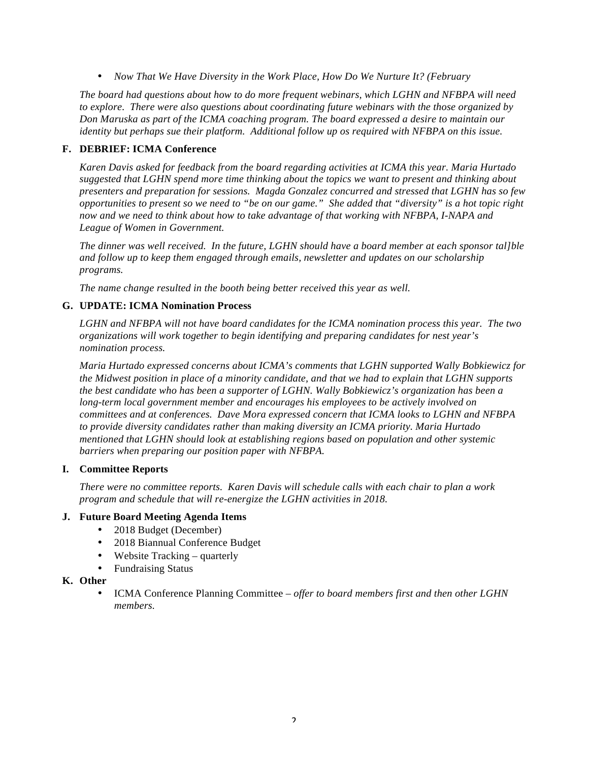• *Now That We Have Diversity in the Work Place, How Do We Nurture It? (February*

*The board had questions about how to do more frequent webinars, which LGHN and NFBPA will need to explore. There were also questions about coordinating future webinars with the those organized by Don Maruska as part of the ICMA coaching program. The board expressed a desire to maintain our identity but perhaps sue their platform. Additional follow up os required with NFBPA on this issue.*

#### **F. DEBRIEF: ICMA Conference**

*Karen Davis asked for feedback from the board regarding activities at ICMA this year. Maria Hurtado suggested that LGHN spend more time thinking about the topics we want to present and thinking about presenters and preparation for sessions. Magda Gonzalez concurred and stressed that LGHN has so few opportunities to present so we need to "be on our game." She added that "diversity" is a hot topic right now and we need to think about how to take advantage of that working with NFBPA, I-NAPA and League of Women in Government.* 

*The dinner was well received. In the future, LGHN should have a board member at each sponsor tal]ble and follow up to keep them engaged through emails, newsletter and updates on our scholarship programs.* 

*The name change resulted in the booth being better received this year as well.*

### **G. UPDATE: ICMA Nomination Process**

*LGHN and NFBPA will not have board candidates for the ICMA nomination process this year. The two organizations will work together to begin identifying and preparing candidates for nest year's nomination process.*

*Maria Hurtado expressed concerns about ICMA's comments that LGHN supported Wally Bobkiewicz for the Midwest position in place of a minority candidate, and that we had to explain that LGHN supports the best candidate who has been a supporter of LGHN. Wally Bobkiewicz's organization has been a long-term local government member and encourages his employees to be actively involved on committees and at conferences. Dave Mora expressed concern that ICMA looks to LGHN and NFBPA to provide diversity candidates rather than making diversity an ICMA priority. Maria Hurtado mentioned that LGHN should look at establishing regions based on population and other systemic barriers when preparing our position paper with NFBPA.*

#### **I. Committee Reports**

*There were no committee reports. Karen Davis will schedule calls with each chair to plan a work program and schedule that will re-energize the LGHN activities in 2018.*

#### **J. Future Board Meeting Agenda Items**

- 2018 Budget (December)
- 2018 Biannual Conference Budget
- Website Tracking *–* quarterly
- Fundraising Status

#### **K. Other**

• ICMA Conference Planning Committee – *offer to board members first and then other LGHN members.*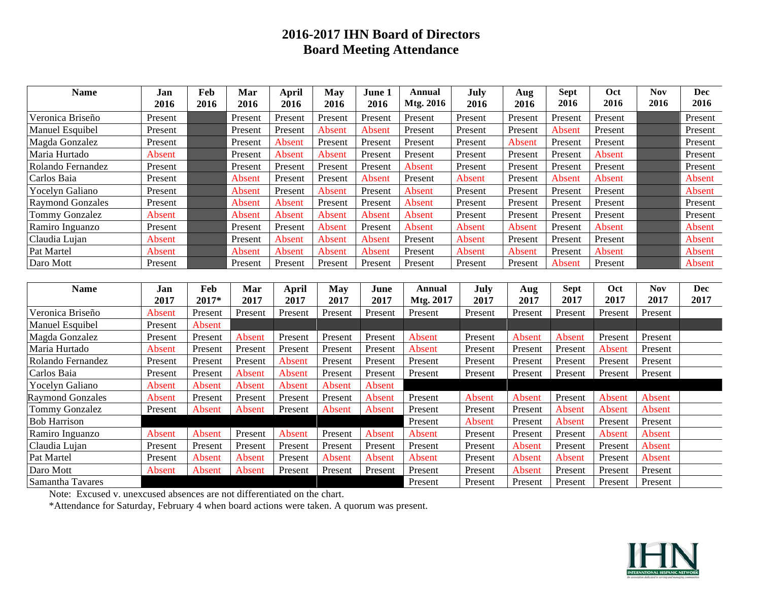# **2016-2017 IHN Board of Directors Board Meeting Attendance**

| <b>Name</b>             | Jan           | Feb     | Mar           | April        | <b>May</b>    | June 1        | Annual        | July    | Aug           | <b>Sept</b> | Oct           | <b>Nov</b> | <b>Dec</b> |
|-------------------------|---------------|---------|---------------|--------------|---------------|---------------|---------------|---------|---------------|-------------|---------------|------------|------------|
|                         | 2016          | 2016    | 2016          | 2016         | 2016          | 2016          | Mtg. 2016     | 2016    | 2016          | 2016        | 2016          | 2016       | 2016       |
| Veronica Briseño        | Present       |         | Present       | Present      | Present       | Present       | Present       | Present | Present       | Present     | Present       |            | Present    |
| Manuel Esquibel         | Present       |         | Present       | Present      | <b>Absent</b> | Absent        | Present       | Present | Present       | Absent      | Present       |            | Present    |
| Magda Gonzalez          | Present       |         | Present       | Absent       | Present       | Present       | Present       | Present | Absent        | Present     | Present       |            | Present    |
| Maria Hurtado           | Absent        |         | Present       | Absent       | Absent        | Present       | Present       | Present | Present       | Present     | Absent        |            | Present    |
| Rolando Fernandez       | Present       |         | Present       | Present      | Present       | Present       | Absent        | Present | Present       | Present     | Present       |            | Present    |
| Carlos Baia             | Present       |         | Absent        | Present      | Present       | <b>Absent</b> | Present       | Absent  | Present       | Absent      | <b>Absent</b> |            | Absent     |
| Yocelyn Galiano         | Present       |         | Absent        | Present      | Absent        | Present       | Absent        | Present | Present       | Present     | Present       |            | Absent     |
| <b>Raymond Gonzales</b> | Present       |         | Absent        | Absent       | Present       | Present       | Absent        | Present | Present       | Present     | Present       |            | Present    |
| <b>Tommy Gonzalez</b>   | Absent        |         | Absent        | Absent       | Absent        | Absent        | Absent        | Present | Present       | Present     | Present       |            | Present    |
| Ramiro Inguanzo         | Present       |         | Present       | Present      | Absent        | Present       | Absent        | Absent  | Absent        | Present     | Absent        |            | Absent     |
| Claudia Lujan           | Absent        |         | Present       | Absent       | Absent        | Absent        | Present       | Absent  | Present       | Present     | Present       |            | Absent     |
| Pat Martel              | <b>Absent</b> |         | Absent        | Absent       | Absent        | Absent        | Present       | Absent  | <b>Absent</b> | Present     | Absent        |            | Absent     |
| Daro Mott               | Present       |         | Present       | Present      | Present       | Present       | Present       | Present | Present       | Absent      | Present       |            | Absent     |
|                         |               |         |               |              |               |               |               |         |               |             |               |            |            |
| <b>Name</b>             | Jan           | Feb     | Mar           | <b>April</b> | <b>May</b>    | June          | <b>Annual</b> | July    | Aug           | <b>Sept</b> | Oct           | <b>Nov</b> | <b>Dec</b> |
|                         | 2017          | 2017*   | 2017          | 2017         | 2017          | 2017          | Mtg. 2017     | 2017    | 2017          | 2017        | 2017          | 2017       | 2017       |
| Veronica Briseño        | Absent        | Present | Present       | Present      | Present       | Present       | Present       | Present | Present       | Present     | Present       | Present    |            |
| Manuel Esquibel         | Present       | Absent  |               |              |               |               |               |         |               |             |               |            |            |
| Magda Gonzalez          | Present       | Present | Absent        | Present      | Present       | Present       | Absent        | Present | Absent        | Absent      | Present       | Present    |            |
| Maria Hurtado           | Absent        | Present | Present       | Present      | Present       | Present       | Absent        | Present | Present       | Present     | Absent        | Present    |            |
| Rolando Fernandez       | Present       | Present | Present       | Absent       | Present       | Present       | Present       | Present | Present       | Present     | Present       | Present    |            |
| Carlos Baia             | Present       | Present | <b>Absent</b> | Absent       | Present       | Present       | Present       | Present | Present       | Present     | Present       | Present    |            |
| Yocelyn Galiano         | Absent        | Absent  | Absent        | Absent       | Absent        | Absent        |               |         |               |             |               |            |            |
| <b>Raymond Gonzales</b> | Absent        | Present | Present       | Present      | Present       | Absent        | Present       | Absent  | <b>Absent</b> | Present     | Absent        | Absent     |            |
| <b>Tommy Gonzalez</b>   | Present       | Absent  | Absent        | Present      | Absent        | Absent        | Present       | Present | Present       | Absent      | Absent        | Absent     |            |
| <b>Bob Harrison</b>     |               |         |               |              |               |               | Present       | Absent  | Present       | Absent      | Present       | Present    |            |
| Ramiro Inguanzo         | Absent        | Absent  | Present       | Absent       | Present       | Absent        | Absent        | Present | Present       | Present     | Absent        | Absent     |            |
| Claudia Lujan           | Present       | Present | Present       | Present      | Present       | Present       | Present       | Present | <b>Absent</b> | Present     | Present       | Absent     |            |
| Pat Martel              | Present       | Absent  | <b>Absent</b> | Present      | Absent        | Absent        | Absent        | Present | Absent        | Absent      | Present       | Absent     |            |
| Daro Mott               | Absent        | Absent  | Absent        | Present      | Present       | Present       | Present       | Present | <b>Absent</b> | Present     | Present       | Present    |            |
| Samantha Tavares        |               |         |               |              |               |               | Present       | Present | Present       | Present     | Present       | Present    |            |

Note: Excused v. unexcused absences are not differentiated on the chart.

\*Attendance for Saturday, February 4 when board actions were taken. A quorum was present.

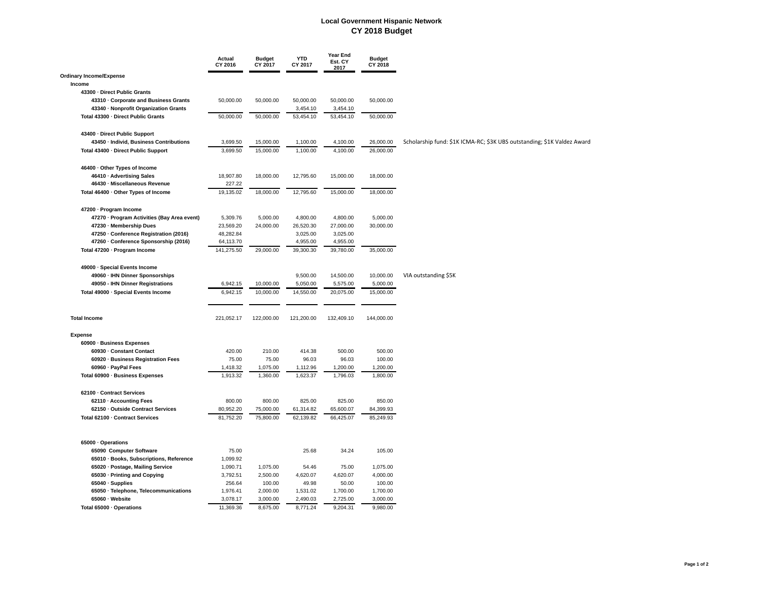#### **Local Government Hispanic Network CY 2018 Budget**

|                                                                                | Actual<br>CY 2016 | <b>Budget</b><br>CY 2017 | <b>YTD</b><br>CY 2017 | Year End<br>Est. CY<br>2017 | <b>Budget</b><br>CY 2018 |                                                                         |
|--------------------------------------------------------------------------------|-------------------|--------------------------|-----------------------|-----------------------------|--------------------------|-------------------------------------------------------------------------|
| <b>Ordinary Income/Expense</b><br>Income                                       |                   |                          |                       |                             |                          |                                                                         |
|                                                                                |                   |                          |                       |                             |                          |                                                                         |
| 43300 · Direct Public Grants                                                   |                   |                          | 50,000.00             | 50,000.00                   |                          |                                                                         |
| 43310 · Corporate and Business Grants<br>43340 · Nonprofit Organization Grants | 50,000.00         | 50,000.00                |                       |                             | 50,000.00                |                                                                         |
|                                                                                |                   |                          | 3,454.10              | 3,454.10                    |                          |                                                                         |
| Total 43300 · Direct Public Grants                                             | 50,000.00         | 50,000.00                | 53,454.10             | 53,454.10                   | 50,000.00                |                                                                         |
| 43400 · Direct Public Support                                                  |                   |                          |                       |                             |                          |                                                                         |
| 43450 · Individ, Business Contributions                                        | 3,699.50          | 15,000.00                | 1,100.00              | 4,100.00                    | 26,000.00                | Scholarship fund: \$1K ICMA-RC; \$3K UBS outstanding; \$1K Valdez Award |
| Total 43400 · Direct Public Support                                            | 3,699.50          | 15,000.00                | 1,100.00              | 4,100.00                    | 26,000.00                |                                                                         |
| 46400 · Other Types of Income                                                  |                   |                          |                       |                             |                          |                                                                         |
| 46410 · Advertising Sales                                                      | 18,907.80         | 18,000.00                | 12,795.60             | 15,000.00                   | 18,000.00                |                                                                         |
| 46430 · Miscellaneous Revenue                                                  | 227.22            |                          |                       |                             |                          |                                                                         |
| Total 46400 · Other Types of Income                                            | 19,135.02         | 18,000.00                | 12,795.60             | 15,000.00                   | 18,000.00                |                                                                         |
|                                                                                |                   |                          |                       |                             |                          |                                                                         |
| 47200 · Program Income                                                         |                   |                          |                       |                             |                          |                                                                         |
| 47270 · Program Activities (Bay Area event)                                    | 5,309.76          | 5,000.00                 | 4,800.00              | 4,800.00                    | 5,000.00                 |                                                                         |
| 47230 · Membership Dues                                                        | 23,569.20         | 24,000.00                | 26,520.30             | 27,000.00                   | 30,000.00                |                                                                         |
| 47250 · Conference Registration (2016)                                         | 48,282.84         |                          | 3,025.00              | 3,025.00                    |                          |                                                                         |
| 47260 · Conference Sponsorship (2016)                                          | 64,113.70         |                          | 4,955.00              | 4,955.00                    |                          |                                                                         |
| Total 47200 · Program Income                                                   | 141,275.50        | 29,000.00                | 39,300.30             | 39,780.00                   | 35,000.00                |                                                                         |
| 49000 · Special Events Income                                                  |                   |                          |                       |                             |                          |                                                                         |
| 49060 · IHN Dinner Sponsorships                                                |                   |                          | 9,500.00              | 14,500.00                   | 10,000.00                | VIA outstanding \$5K                                                    |
| 49050 - IHN Dinner Registrations                                               | 6,942.15          | 10,000.00                | 5,050.00              | 5,575.00                    | 5,000.00                 |                                                                         |
| Total 49000 · Special Events Income                                            | 6,942.15          | 10,000.00                | 14,550.00             | 20,075.00                   | 15,000.00                |                                                                         |
| <b>Total Income</b>                                                            | 221,052.17        | 122,000.00               | 121,200.00            | 132,409.10                  | 144,000.00               |                                                                         |
| <b>Expense</b>                                                                 |                   |                          |                       |                             |                          |                                                                         |
| 60900 · Business Expenses                                                      |                   |                          |                       |                             |                          |                                                                         |
| 60930 · Constant Contact                                                       | 420.00            | 210.00                   | 414.38                | 500.00                      | 500.00                   |                                                                         |
| 60920 · Business Registration Fees                                             | 75.00             | 75.00                    | 96.03                 | 96.03                       | 100.00                   |                                                                         |
| 60960 · PayPal Fees                                                            | 1,418.32          | 1,075.00                 | 1,112.96              | 1,200.00                    | 1,200.00                 |                                                                         |
| Total 60900 · Business Expenses                                                | 1,913.32          | 1,360.00                 | 1,623.37              | 1,796.03                    | 1,800.00                 |                                                                         |
| 62100 Contract Services                                                        |                   |                          |                       |                             |                          |                                                                         |
| 62110 · Accounting Fees                                                        | 800.00            | 800.00                   | 825.00                | 825.00                      | 850.00                   |                                                                         |
| 62150 Outside Contract Services                                                | 80,952.20         | 75,000.00                | 61,314.82             | 65,600.07                   | 84,399.93                |                                                                         |
| Total 62100 · Contract Services                                                | 81,752.20         | 75,800.00                | 62,139.82             | 66,425.07                   | 85,249.93                |                                                                         |
|                                                                                |                   |                          |                       |                             |                          |                                                                         |
| 65000 · Operations                                                             |                   |                          |                       |                             |                          |                                                                         |
| 65090 Computer Software                                                        | 75.00             |                          | 25.68                 | 34.24                       | 105.00                   |                                                                         |
| 65010 · Books, Subscriptions, Reference                                        | 1,099.92          |                          |                       |                             |                          |                                                                         |
| 65020 · Postage, Mailing Service                                               | 1,090.71          | 1,075.00                 | 54.46                 | 75.00                       | 1,075.00                 |                                                                         |
| 65030 · Printing and Copying                                                   | 3,792.51          | 2,500.00                 | 4,620.07              | 4,620.07                    | 4,000.00                 |                                                                         |
| 65040 · Supplies                                                               | 256.64            | 100.00                   | 49.98                 | 50.00                       | 100.00                   |                                                                         |
| 65050 · Telephone, Telecommunications                                          | 1,976.41          | 2,000.00                 | 1,531.02              | 1,700.00                    | 1,700.00                 |                                                                         |
| 65060 · Website                                                                | 3,078.17          | 3,000.00                 | 2,490.03              | 2,725.00                    | 3,000.00                 |                                                                         |
| Total 65000 · Operations                                                       | 11,369.36         | 8,675.00                 | 8,771.24              | 9,204.31                    | 9,980.00                 |                                                                         |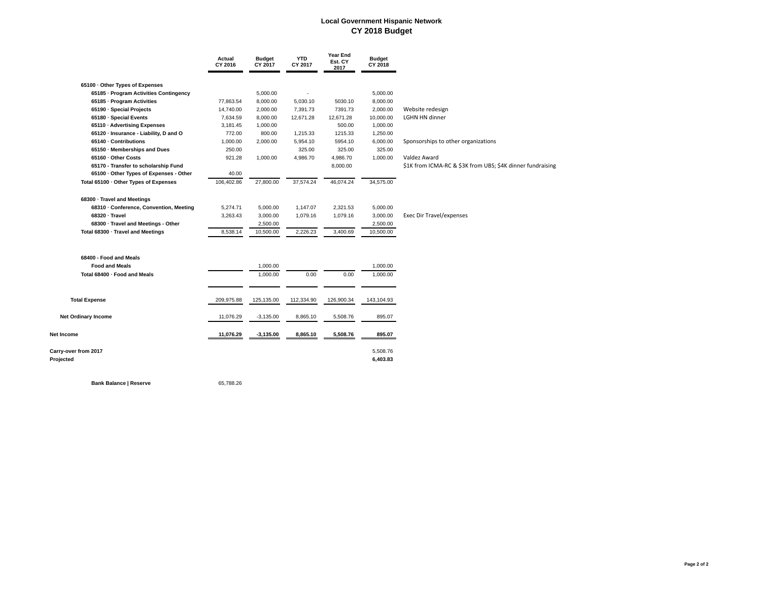#### **Local Government Hispanic Network CY 2018 Budget**

|                                         | Actual<br>CY 2016 | <b>Budget</b><br>CY 2017 | <b>YTD</b><br>CY 2017 | <b>Year End</b><br>Est. CY<br>2017 | <b>Budget</b><br>CY 2018 |                                                            |
|-----------------------------------------|-------------------|--------------------------|-----------------------|------------------------------------|--------------------------|------------------------------------------------------------|
| 65100 · Other Types of Expenses         |                   |                          |                       |                                    |                          |                                                            |
| 65185 · Program Activities Contingency  |                   | 5,000.00                 |                       |                                    | 5,000.00                 |                                                            |
| 65185 · Program Activities              | 77,863.54         | 8,000.00                 | 5,030.10              | 5030.10                            | 8,000.00                 |                                                            |
| 65190 · Special Projects                | 14,740.00         | 2,000.00                 | 7,391.73              | 7391.73                            | 2,000.00                 | Website redesign                                           |
| 65180 · Special Events                  | 7,634.59          | 8,000.00                 | 12,671.28             | 12,671.28                          | 10,000.00                | <b>LGHN HN dinner</b>                                      |
| 65110 · Advertising Expenses            | 3,181.45          | 1,000.00                 |                       | 500.00                             | 1,000.00                 |                                                            |
| 65120 · Insurance - Liability, D and O  | 772.00            | 800.00                   | 1,215.33              | 1215.33                            | 1,250.00                 |                                                            |
| 65140 · Contributions                   | 1,000.00          | 2,000.00                 | 5,954.10              | 5954.10                            | 6,000.00                 | Sponsorships to other organizations                        |
| 65150 · Memberships and Dues            | 250.00            |                          | 325.00                | 325.00                             | 325.00                   |                                                            |
| 65160 Other Costs                       | 921.28            | 1,000.00                 | 4,986.70              | 4,986.70                           | 1,000.00                 | Valdez Award                                               |
| 65170 - Transfer to scholarship Fund    |                   |                          |                       | 8,000.00                           |                          | \$1K from ICMA-RC & \$3K from UBS; \$4K dinner fundraising |
| 65100 · Other Types of Expenses - Other | 40.00             |                          |                       |                                    |                          |                                                            |
| Total 65100 · Other Types of Expenses   | 106,402.86        | 27,800.00                | 37,574.24             | 46,074.24                          | 34,575.00                |                                                            |
| 68300 · Travel and Meetings             |                   |                          |                       |                                    |                          |                                                            |
| 68310 · Conference, Convention, Meeting | 5,274.71          | 5,000.00                 | 1,147.07              | 2,321.53                           | 5,000.00                 |                                                            |
| 68320 · Travel                          | 3,263.43          | 3,000.00                 | 1,079.16              | 1,079.16                           | 3,000.00                 | Exec Dir Travel/expenses                                   |
| 68300 · Travel and Meetings - Other     |                   | 2,500.00                 |                       |                                    | 2,500.00                 |                                                            |
| Total 68300 · Travel and Meetings       | 8,538.14          | 10,500.00                | 2,226.23              | 3,400.69                           | 10,500.00                |                                                            |
|                                         |                   |                          |                       |                                    |                          |                                                            |
| 68400 - Food and Meals                  |                   |                          |                       |                                    |                          |                                                            |
| <b>Food and Meals</b>                   |                   | 1,000.00                 |                       |                                    | 1,000.00                 |                                                            |
| Total 68400 · Food and Meals            |                   | 1,000.00                 | 0.00                  | 0.00                               | 1,000.00                 |                                                            |
| <b>Total Expense</b>                    | 209,975.88        | 125,135.00               | 112,334.90            | 126,900.34                         | 143,104.93               |                                                            |
|                                         |                   |                          |                       |                                    |                          |                                                            |
| <b>Net Ordinary Income</b>              | 11,076.29         | $-3,135.00$              | 8,865.10              | 5,508.76                           | 895.07                   |                                                            |
| Net Income                              | 11,076.29         | $-3,135.00$              | 8,865.10              | 5,508.76                           | 895.07                   |                                                            |
| Carry-over from 2017<br>Projected       |                   |                          |                       |                                    | 5,508.76<br>6,403.83     |                                                            |

**Bank Balance | Reserve 65,788.26**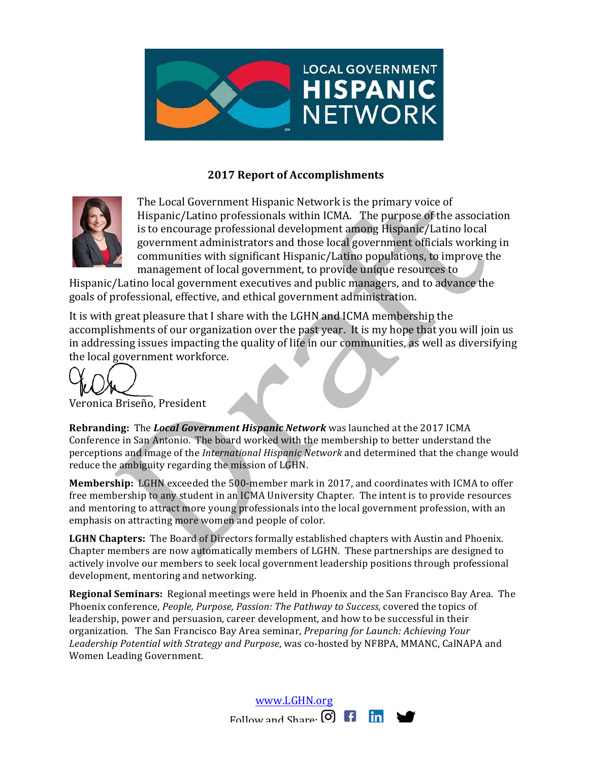

# **2017 Report of Accomplishments**



The Local Government Hispanic Network is the primary voice of Hispanic/Latino professionals within ICMA. The purpose of the association is to encourage professional development among Hispanic/Latino local government administrators and those local government officials working in communities with significant Hispanic/Latino populations, to improve the management of local government, to provide unique resources to

Hispanic/Latino local government executives and public managers, and to advance the goals of professional, effective, and ethical government administration.

It is with great pleasure that I share with the LGHN and ICMA membership the accomplishments of our organization over the past year. It is my hope that you will join us in addressing issues impacting the quality of life in our communities, as well as diversifying the local government workforce.

Veronica Briseño, President

**Rebranding:** The *Local Government Hispanic Network* was launched at the 2017 ICMA Conference in San Antonio. The board worked with the membership to better understand the perceptions and image of the *International Hispanic Network* and determined that the change would reduce the ambiguity regarding the mission of LGHN.

**Membership:** LGHN exceeded the 500-member mark in 2017, and coordinates with ICMA to offer free membership to any student in an ICMA University Chapter. The intent is to provide resources and mentoring to attract more young professionals into the local government profession, with an emphasis on attracting more women and people of color.

LGHN Chapters: The Board of Directors formally established chapters with Austin and Phoenix. Chapter members are now automatically members of LGHN. These partnerships are designed to actively involve our members to seek local government leadership positions through professional development, mentoring and networking.

**Regional Seminars:** Regional meetings were held in Phoenix and the San Francisco Bay Area. The Phoenix conference, *People, Purpose, Passion: The Pathway to Success*, covered the topics of leadership, power and persuasion, career development, and how to be successful in their organization. The San Francisco Bay Area seminar, *Preparing for Launch: Achieving Your* Leadership Potential with Strategy and Purpose, was co-hosted by NFBPA, MMANC, CalNAPA and Women Leading Government.